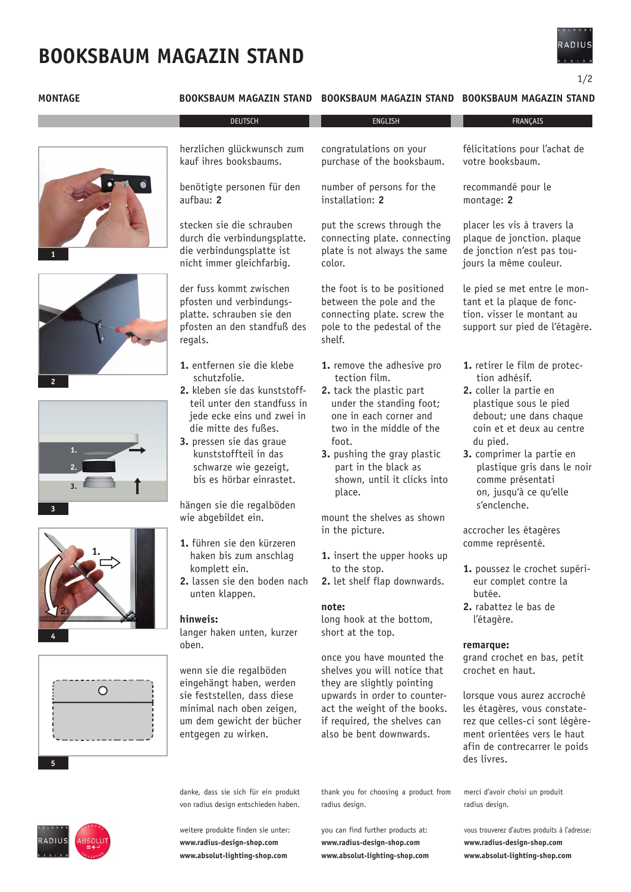## **BOOKSBAUM MAGAZIN STAND**

### **Montage Booksbaum Magazin stand BoOksbaum Magazin STANd Booksbaum Magazin Stand**

congratulations on your purchase of the booksbaum.









herzlichen glückwunsch zum kauf ihres booksbaums.

benötigte personen für den aufbau: **2**

stecken sie die schrauben durch die verbindungsplatte. die verbindungsplatte ist nicht immer gleichfarbig.

der fuss kommt zwischen pfosten und verbindungsplatte. schrauben sie den pfosten an den standfuß des regals.

- **1.** entfernen sie die klebe schutzfolie.
- **2.** kleben sie das kunststoff teil unter den standfuss in jede ecke eins und zwei in die mitte des fußes.
- **3.** pressen sie das graue kunststoffteil in das schwarze wie gezeigt, bis es hörbar einrastet.

hängen sie die regalböden wie abgebildet ein.

- **1.** führen sie den kürzeren haken bis zum anschlag komplett ein.
- **2.** lassen sie den boden nach unten klappen.

#### **hinweis:**

langer haken unten, kurzer oben.

wenn sie die regalböden eingehängt haben, werden sie feststellen, dass diese minimal nach oben zeigen, um dem gewicht der bücher entgegen zu wirken.

danke, dass sie sich für ein produkt von radius design entschieden haben.

weitere produkte finden sie unter: **www.radius-design-shop.com www.absolut-lighting-shop.com**

number of persons for the installation: **2** put the screws through the connecting plate. connecting plate is not always the same color. the foot is to be positioned between the pole and the connecting plate. screw the pole to the pedestal of the

**1.** remove the adhesive pro tection film.

shelf.

- **2.** tack the plastic part under the standing foot; one in each corner and two in the middle of the foot.
- **3.** pushing the gray plastic part in the black as shown, until it clicks into place.

mount the shelves as shown in the picture.

- **1.** insert the upper hooks up to the stop.
- **2.** let shelf flap downwards.

#### **note:**

long hook at the bottom, short at the top.

once you have mounted the shelves you will notice that they are slightly pointing upwards in order to counteract the weight of the books. if required, the shelves can also be bent downwards.

thank you for choosing a product from

you can find further products at: **www.radius-design-shop.com www.absolut-lighting-shop.com**

radius design.

recommandé pour le montage: **2** placer les vis à travers la plaque de jonction. plaque de jonction n'est pas toujours la même couleur. le pied se met entre le montant et la plaque de fonction. visser le montant au support sur pied de l'étagère. **1.** retirer le film de protec tion adhésif. **2.** coller la partie en

félicitations pour l'achat de

- plastique sous le pied debout; une dans chaque coin et et deux au centre du pied.
- **3.** comprimer la partie en plastique gris dans le noir comme présentati on, jusqu'à ce qu'elle s'enclenche.

accrocher les étagères comme représenté.

**1.** poussez le crochet supéri eur complet contre la butée. **2.** rabattez le bas de

l'étagère.

#### **remarque:**

grand crochet en bas, petit crochet en haut.

lorsque vous aurez accroché les étagères, vous constaterez que celles-ci sont légèrement orientées vers le haut afin de contrecarrer le poids des livres.

merci d'avoir choisi un produit radius design.

vous trouverez d'autres produits à l'adresse: **www.radius-design-shop.com www.absolut-lighting-shop.com**





1/2

votre booksbaum.